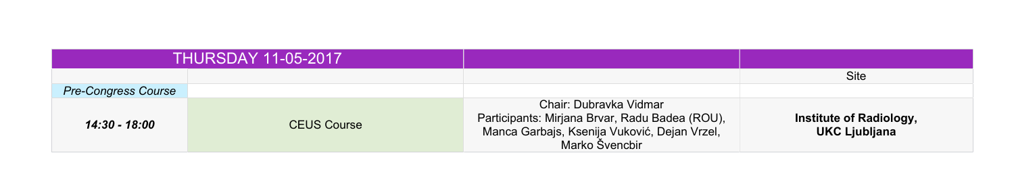|                            | <b>THURSDAY 11-05-2017</b> |                                                                 |
|----------------------------|----------------------------|-----------------------------------------------------------------|
|                            |                            |                                                                 |
| <b>Pre-Congress Course</b> |                            |                                                                 |
| 14:30 - 18:00              | <b>CEUS Course</b>         | Chair: D<br>Participants: Mirjana<br>Manca Garbajs, Kse<br>Mark |

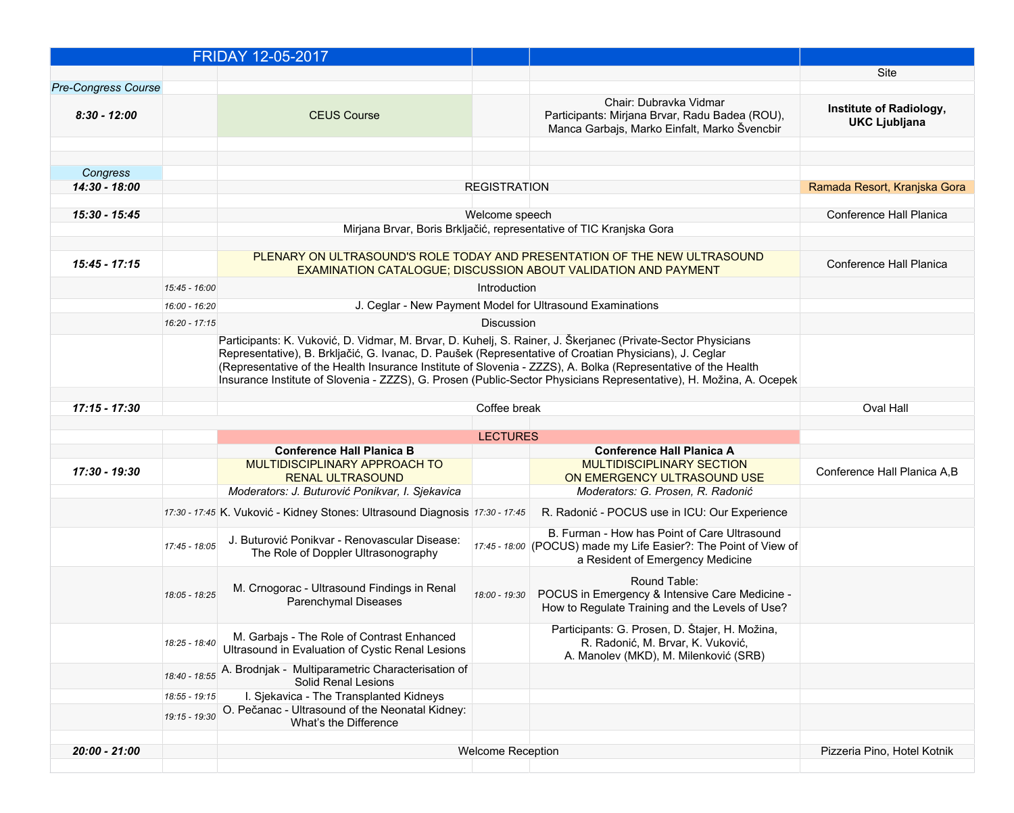|                            |                 | <b>FRIDAY 12-05-2017</b>                                                                                                                                                                                                |                          |                                                                                                                                                              |                                                 |
|----------------------------|-----------------|-------------------------------------------------------------------------------------------------------------------------------------------------------------------------------------------------------------------------|--------------------------|--------------------------------------------------------------------------------------------------------------------------------------------------------------|-------------------------------------------------|
|                            |                 |                                                                                                                                                                                                                         |                          |                                                                                                                                                              | <b>Site</b>                                     |
| <b>Pre-Congress Course</b> |                 |                                                                                                                                                                                                                         |                          |                                                                                                                                                              |                                                 |
| $8:30 - 12:00$             |                 | <b>CEUS Course</b>                                                                                                                                                                                                      |                          | Chair: Dubravka Vidmar<br>Participants: Mirjana Brvar, Radu Badea (ROU),<br>Manca Garbajs, Marko Einfalt, Marko Švencbir                                     | Institute of Radiology,<br><b>UKC Ljubljana</b> |
|                            |                 |                                                                                                                                                                                                                         |                          |                                                                                                                                                              |                                                 |
| Congress                   |                 |                                                                                                                                                                                                                         |                          |                                                                                                                                                              |                                                 |
| 14:30 - 18:00              |                 |                                                                                                                                                                                                                         | <b>REGISTRATION</b>      |                                                                                                                                                              | Ramada Resort, Kranjska Gora                    |
|                            |                 |                                                                                                                                                                                                                         |                          |                                                                                                                                                              |                                                 |
| 15:30 - 15:45              |                 |                                                                                                                                                                                                                         | Welcome speech           | Mirjana Brvar, Boris Brkljačić, representative of TIC Kranjska Gora                                                                                          | <b>Conference Hall Planica</b>                  |
|                            |                 |                                                                                                                                                                                                                         |                          |                                                                                                                                                              |                                                 |
| 15:45 - 17:15              |                 |                                                                                                                                                                                                                         |                          | PLENARY ON ULTRASOUND'S ROLE TODAY AND PRESENTATION OF THE NEW ULTRASOUND<br><b>EXAMINATION CATALOGUE; DISCUSSION ABOUT VALIDATION AND PAYMENT</b>           | <b>Conference Hall Planica</b>                  |
|                            | 15:45 - 16:00   |                                                                                                                                                                                                                         | Introduction             |                                                                                                                                                              |                                                 |
|                            | 16:00 - 16:20   |                                                                                                                                                                                                                         |                          | J. Ceglar - New Payment Model for Ultrasound Examinations                                                                                                    |                                                 |
|                            | 16:20 - 17:15   |                                                                                                                                                                                                                         | <b>Discussion</b>        |                                                                                                                                                              |                                                 |
|                            |                 | Participants: K. Vuković, D. Vidmar, M. Brvar, D. Kuhelj, S. Rainer, J. Škerjanec (Private-Sector Physicians                                                                                                            |                          |                                                                                                                                                              |                                                 |
|                            |                 | Representative), B. Brkljačić, G. Ivanac, D. Paušek (Representative of Croatian Physicians), J. Ceglar<br>(Representative of the Health Insurance Institute of Slovenia - ZZZS), A. Bolka (Representative of the Health |                          |                                                                                                                                                              |                                                 |
|                            |                 |                                                                                                                                                                                                                         |                          | Insurance Institute of Slovenia - ZZZS), G. Prosen (Public-Sector Physicians Representative), H. Možina, A. Ocepek                                           |                                                 |
| 17:15 - 17:30              |                 |                                                                                                                                                                                                                         | Coffee break             |                                                                                                                                                              | <b>Oval Hall</b>                                |
|                            |                 |                                                                                                                                                                                                                         |                          |                                                                                                                                                              |                                                 |
|                            |                 |                                                                                                                                                                                                                         | <b>LECTURES</b>          |                                                                                                                                                              |                                                 |
|                            |                 | <b>Conference Hall Planica B</b>                                                                                                                                                                                        |                          | <b>Conference Hall Planica A</b>                                                                                                                             |                                                 |
| 17:30 - 19:30              |                 | MULTIDISCIPLINARY APPROACH TO<br><b>RENAL ULTRASOUND</b>                                                                                                                                                                |                          | <b>MULTIDISCIPLINARY SECTION</b><br>ON EMERGENCY ULTRASOUND USE                                                                                              | Conference Hall Planica A, B                    |
|                            |                 | Moderators: J. Buturović Ponikvar, I. Sjekavica                                                                                                                                                                         |                          | Moderators: G. Prosen, R. Radonić                                                                                                                            |                                                 |
|                            |                 | 17:30 - 17:45 K. Vuković - Kidney Stones: Ultrasound Diagnosis 17:30 - 17:45                                                                                                                                            |                          | R. Radonić - POCUS use in ICU: Our Experience                                                                                                                |                                                 |
|                            | $17:45 - 18:05$ | J. Buturović Ponikvar - Renovascular Disease:<br>The Role of Doppler Ultrasonography                                                                                                                                    |                          | B. Furman - How has Point of Care Ultrasound<br>$\vert$ 17:45 - 18:00 (POCUS) made my Life Easier?: The Point of View of<br>a Resident of Emergency Medicine |                                                 |
|                            | 18:05 - 18:25   | M. Crnogorac - Ultrasound Findings in Renal<br><b>Parenchymal Diseases</b>                                                                                                                                              |                          | <b>Round Table:</b><br>18:00 - 19:30   POCUS in Emergency & Intensive Care Medicine -<br>How to Regulate Training and the Levels of Use?                     |                                                 |
|                            | 18:25 - 18:40   | M. Garbajs - The Role of Contrast Enhanced<br>Ultrasound in Evaluation of Cystic Renal Lesions                                                                                                                          |                          | Participants: G. Prosen, D. Štajer, H. Možina,<br>R. Radonić, M. Brvar, K. Vuković,<br>A. Manolev (MKD), M. Milenković (SRB)                                 |                                                 |
|                            | 18:40 - 18:55   | A. Brodnjak - Multiparametric Characterisation of<br><b>Solid Renal Lesions</b>                                                                                                                                         |                          |                                                                                                                                                              |                                                 |
|                            | $18:55 - 19:15$ | I. Sjekavica - The Transplanted Kidneys                                                                                                                                                                                 |                          |                                                                                                                                                              |                                                 |
|                            |                 | 19:15 - 19:30 O. Pečanac - Ultrasound of the Neonatal Kidney:<br><b>What's the Difference</b>                                                                                                                           |                          |                                                                                                                                                              |                                                 |
| 20:00 - 21:00              |                 |                                                                                                                                                                                                                         | <b>Welcome Reception</b> |                                                                                                                                                              | Pizzeria Pino, Hotel Kotnik                     |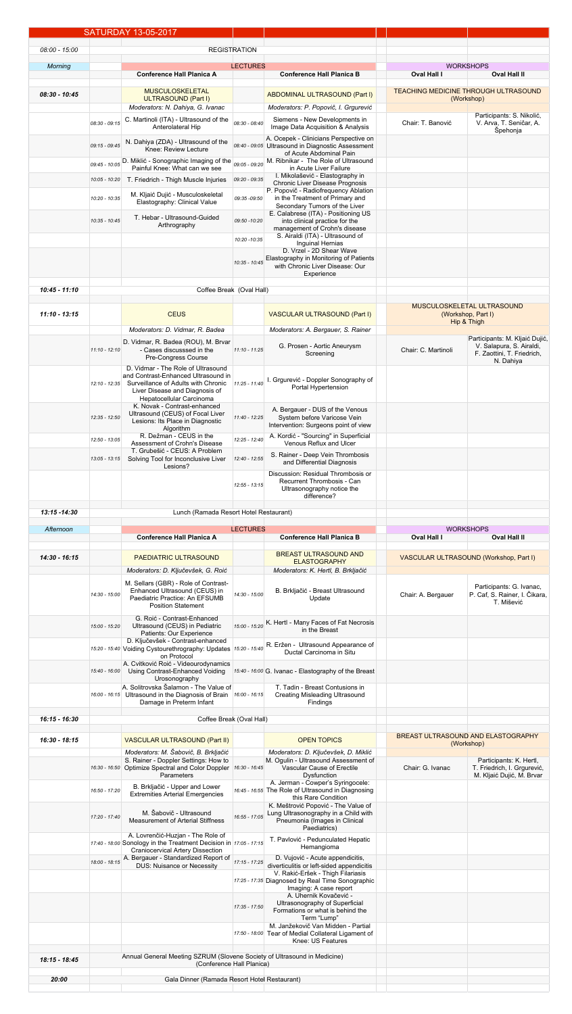|                 |                 | SATURDAY_13-05-2017                                                                                        |                     |                                                                                            |                     |                                                            |
|-----------------|-----------------|------------------------------------------------------------------------------------------------------------|---------------------|--------------------------------------------------------------------------------------------|---------------------|------------------------------------------------------------|
| 08:00 - 15:00   |                 |                                                                                                            | <b>REGISTRATION</b> |                                                                                            |                     |                                                            |
|                 |                 |                                                                                                            |                     |                                                                                            |                     |                                                            |
| <b>Morning</b>  |                 | <b>Conference Hall Planica A</b>                                                                           | <b>LECTURES</b>     | <b>Conference Hall Planica B</b>                                                           | <b>Oval Hall I</b>  | <b>WORKSHOPS</b><br><b>Oval Hall II</b>                    |
|                 |                 | <b>MUSCULOSKELETAL</b>                                                                                     |                     |                                                                                            |                     | <u>TEACHING MEDICINE THROUGH ULTRASOUND</u>                |
| 08:30 - 10:45   |                 | ULTRASOUND (Part I)                                                                                        |                     | <b>ABDOMINAL ULTRASOUND (Part I)</b>                                                       |                     | (Workshop)                                                 |
|                 |                 | Moderators: N. Dahiya, G. Ivanac                                                                           |                     | Moderators: P. Popovič, I. Grgurević<br>Siemens - New Developments in                      |                     | Participants: S. Nikolić,                                  |
|                 |                 |                                                                                                            | $ 08:30 - 08:40 $   | <b>Image Data Acquisition &amp; Analysis</b>                                               | Chair: T. Banović   | V. Arva, T. Seničar, A.<br>Špehonja                        |
|                 | $09:15 - 09:45$ | N. Dahiya (ZDA) - Ultrasound of the<br>Knee: Review Lecture                                                |                     | A. Ocepek - Clinicians Perspective on<br>08:40 - 09:05 Ultrasound in Diagnostic Assessment |                     |                                                            |
|                 |                 |                                                                                                            |                     | of Acute Abdominal Pain                                                                    |                     |                                                            |
|                 |                 | $\begin{vmatrix} 0.945 & -10.05 \\ 0.0945 & -10.05 \end{vmatrix}$ D. Miklić - Sonographic Imaging of the   |                     | $\mathbb{R}$ 09:05 - 09:20 M. Ribnikar - The Role of Ultrasound<br>in Acute Liver Failure  |                     |                                                            |
|                 |                 | $\vert$ 10:05 - 10:20 T. Friedrich - Thigh Muscle Injuries                                                 | 09:20 - 09:35       | I. Mikolašević - Elastography in<br><b>Chronic Liver Disease Prognosis</b>                 |                     |                                                            |
|                 | 10:20 - 10:35   | M. Kljaić Dujić - Musculoskeletal<br><b>Elastography: Clinical Value</b>                                   | 09:35 -09:50        | P. Popovič - Radiofrequency Ablation<br>in the Treatment of Primary and                    |                     |                                                            |
|                 |                 |                                                                                                            |                     | Secondary Tumors of the Liver<br>E. Calabrese (ITA) - Positioning US                       |                     |                                                            |
|                 | 10:35 - 10:45   | T. Hebar - Ultrasound-Guided<br>Arthrography                                                               | 09:50 -10:20        | into clinical practice for the<br>management of Crohn's disease                            |                     |                                                            |
|                 |                 |                                                                                                            | 10:20 - 10:35       | S. Airaldi (ITA) - Ultrasound of                                                           |                     |                                                            |
|                 |                 |                                                                                                            |                     | <b>Inguinal Hernias</b><br>D. Vrzel - 2D Shear Wave                                        |                     |                                                            |
|                 |                 |                                                                                                            | $10:35 - 10:45$     | <b>Elastography in Monitoring of Patients</b><br>with Chronic Liver Disease: Our           |                     |                                                            |
|                 |                 |                                                                                                            |                     | <b>Experience</b>                                                                          |                     |                                                            |
| 10:45 - 11:10   |                 | Coffee Break (Oval Hall)                                                                                   |                     |                                                                                            |                     |                                                            |
|                 |                 |                                                                                                            |                     |                                                                                            |                     | <b>MUSCULOSKELETAL ULTRASOUND</b>                          |
| $11:10 - 13:15$ |                 | <b>CEUS</b>                                                                                                |                     | <b>VASCULAR ULTRASOUND (Part I)</b>                                                        |                     | (Workshop, Part I)<br>Hip & Thigh                          |
|                 |                 | Moderators: D. Vidmar, R. Badea                                                                            |                     | Moderators: A. Bergauer, S. Rainer                                                         |                     |                                                            |
|                 | $11:10 - 12:10$ | D. Vidmar, R. Badea (ROU), M. Brvar<br>- Cases discusssed in the                                           | $11:10 - 11:25$     | G. Prosen - Aortic Aneurysm                                                                | Chair: C. Martinoli | Participants: M. Kljaić Dujić,<br>V. Salapura, S. Airaldi, |
|                 |                 | <b>Pre-Congress Course</b>                                                                                 |                     | Screening                                                                                  |                     | F. Zaottini, T. Friedrich,<br>N. Dahiya                    |
|                 |                 | D. Vidmar - The Role of Ultrasound<br>and Contrast-Enhanced Ultrasound in                                  |                     |                                                                                            |                     |                                                            |
|                 | $12:10 - 12:35$ | Surveillance of Adults with Chronic<br>Liver Disease and Diagnosis of                                      | 11:25 - 11:40       | I. Grgurević - Doppler Sonography of<br><b>Portal Hypertension</b>                         |                     |                                                            |
|                 |                 | Hepatocellular Carcinoma<br>K. Novak - Contrast-enhanced                                                   |                     |                                                                                            |                     |                                                            |
|                 | 12:35 - 12:50   | Ultrasound (CEUS) of Focal Liver                                                                           | 11:40 - 12:25       | A. Bergauer - DUS of the Venous<br>System before Varicose Vein                             |                     |                                                            |
|                 |                 | Lesions: Its Place in Diagnostic<br><b>Algorithm</b>                                                       |                     | Intervention: Surgeons point of view                                                       |                     |                                                            |
|                 | 12:50 - 13:05   | R. Dežman - CEUS in the<br>Assessment of Crohn's Disease                                                   | 12:25 - 12:40       | A. Kordić - "Sourcing" in Superficial<br><b>Venous Reflux and Ulcer</b>                    |                     |                                                            |
|                 | $13:05 - 13:15$ | T. Grubešić - CEUS: A Problem<br>Solving Tool for Inconclusive Liver                                       | 12:40 - 12:55       | S. Rainer - Deep Vein Thrombosis                                                           |                     |                                                            |
|                 |                 | Lesions?                                                                                                   |                     | and Differential Diagnosis<br>Discussion: Residual Thrombosis or                           |                     |                                                            |
|                 |                 |                                                                                                            | $12:55 - 13:15$     | <b>Recurrent Thrombosis - Can</b>                                                          |                     |                                                            |
|                 |                 |                                                                                                            |                     | Ultrasonography notice the<br>difference?                                                  |                     |                                                            |
|                 |                 |                                                                                                            |                     |                                                                                            |                     |                                                            |
| $13:15 - 14:30$ |                 | Lunch (Ramada Resort Hotel Restaurant)                                                                     |                     |                                                                                            |                     |                                                            |
|                 |                 |                                                                                                            |                     |                                                                                            |                     |                                                            |
| Afternoon       |                 | <b>Conference Hall Planica A</b>                                                                           | <b>LECTURES</b>     | <b>Conference Hall Planica B</b>                                                           | <b>Oval Hall I</b>  | <b>WORKSHOPS</b><br><b>Oval Hall II</b>                    |
|                 |                 |                                                                                                            |                     | <b>BREAST ULTRASOUND AND</b>                                                               |                     |                                                            |
| 14:30 - 16:15   |                 | <b>PAEDIATRIC ULTRASOUND</b>                                                                               |                     | <b>ELASTOGRAPHY</b>                                                                        |                     | VASCULAR ULTRASOUND (Workshop, Part I)                     |
|                 |                 | Moderators: D. Ključevšek, G. Roić                                                                         |                     | Moderators: K. Hertl, B. Brkljačić                                                         |                     |                                                            |
|                 | 14:30 - 15:00   | M. Sellars (GBR) - Role of Contrast-<br>Enhanced Ultrasound (CEUS) in                                      | 14:30 - 15:00       | B. Brkljačić - Breast Ultrasound                                                           | Chair: A. Bergauer  | Participants: G. Ivanac,<br>P. Caf, S. Rainer, I. Čikara,  |
|                 |                 | Paediatric Practice: An EFSUMB<br><b>Position Statement</b>                                                |                     | Update                                                                                     |                     | T. Mišević                                                 |
|                 |                 | G. Roić - Contrast-Enhanced                                                                                |                     |                                                                                            |                     |                                                            |
|                 | 15:00 - 15:20   | Ultrasound (CEUS) in Pediatric<br><b>Patients: Our Experience</b>                                          |                     | 15:00 - 15:20 K. Hertl - Many Faces of Fat Necrosis<br>in the Breast                       |                     |                                                            |
|                 |                 | D. Ključevšek - Contrast-enhanced<br>15:20 - 15:40 Voiding Cystourethrography: Updates $15:20$ - 15:40     |                     | R. Eržen - Ultrasound Appearance of<br>Ductal Carcinoma in Situ                            |                     |                                                            |
|                 |                 | on Protocol<br>A. Cvitković Roić - Videourodynamics                                                        |                     |                                                                                            |                     |                                                            |
|                 | 15:40 - 16:00   | Urosonography                                                                                              |                     | Using Contrast-Enhanced Voiding $15:40 - 16:00$ G. Ivanac - Elastography of the Breast     |                     |                                                            |
|                 | $16:00 - 16:15$ | A. Solitrovska Šalamon - The Value of                                                                      |                     | T. Tadin - Breast Contusions in                                                            |                     |                                                            |
|                 |                 | Ultrasound in the Diagnosis of Brain $16:00 - 16:15$<br>Damage in Preterm Infant                           |                     | <b>Creating Misleading Ultrasound</b><br>Findings                                          |                     |                                                            |
| 16:15 - 16:30   |                 | Coffee Break (Oval Hall)                                                                                   |                     |                                                                                            |                     |                                                            |
|                 |                 |                                                                                                            |                     |                                                                                            |                     | BREAST ULTRASOUND AND ELASTOGRAPHY                         |
| 16:30 - 18:15   |                 | <b>VASCULAR ULTRASOUND (Part II)</b>                                                                       |                     | <b>OPEN TOPICS</b>                                                                         |                     | (Workshop)                                                 |
|                 |                 | Moderators: M. Šabovič, B. Brkljačić<br>S. Rainer - Doppler Settings: How to                               |                     | Moderators: D. Ključevšek, D. Miklić<br>M. Ogulin - Ultrasound Assessment of               |                     | Participants: K. Hertl,                                    |
|                 |                 | 16:30 - 16:50 Optimize Spectral and Color Doppler 16:30 - 16:45<br><b>Parameters</b>                       |                     | <b>Vascular Cause of Erectile</b><br><b>Dysfunction</b>                                    | Chair: G. Ivanac    | T. Friedrich, I. Grgurević,<br>M. Kljaić Dujić, M. Brvar   |
|                 | 16:50 - 17:20   | B. Brkljačić - Upper and Lower                                                                             |                     | A. Jerman - Cowper's Syringocele:<br>16:45 - 16:55 The Role of Ultrasound in Diagnosing    |                     |                                                            |
|                 |                 | <b>Extremities Arterial Emergencies</b>                                                                    |                     | this Rare Condition                                                                        |                     |                                                            |
|                 | 17:20 - 17:40   | M. Šabovič - Ultrasound<br><b>Measurement of Arterial Stiffness</b>                                        | 16:55 - 17:05       | K. Meštrović Popović - The Value of<br>Lung Ultrasonography in a Child with                |                     |                                                            |
|                 |                 |                                                                                                            |                     | Pneumonia (Images in Clinical<br>Paediatrics)                                              |                     |                                                            |
|                 |                 | A. Lovrenčić-Huzjan - The Role of<br>$17:40 - 18:00$ Sonology in the Treatment Decision in $17:05 - 17:15$ |                     | T. Pavlović - Pedunculated Hepatic<br>Hemangioma                                           |                     |                                                            |
|                 |                 | <b>Craniocervical Artery Dissection</b>                                                                    |                     | D. Vujović - Acute appendicitis,                                                           |                     |                                                            |
|                 |                 | 18:00 - 18:15 A. Bergauer - Standardized Report of                                                         | $17:15 - 17:25$     | diverticulitis or left-sided appendicitis<br>V. Rakić-Eršek - Thigh Filariasis             |                     |                                                            |
|                 |                 |                                                                                                            |                     | 17:25 - 17:35 Diagnosed by Real Time Sonographic                                           |                     |                                                            |
|                 |                 |                                                                                                            |                     | Imaging: A case report<br>A. Uhernik Kovačević -                                           |                     |                                                            |
|                 |                 |                                                                                                            | 17:35 - 17:50       | Ultrasonography of Superficial<br>Formations or what is behind the                         |                     |                                                            |
|                 |                 |                                                                                                            |                     | Term "Lump"<br>M. Janžekovič Van Midden - Partial                                          |                     |                                                            |
|                 |                 |                                                                                                            | $ 17:50 - 18:00 $   | Tear of Medial Collateral Ligament of<br><b>Knee: US Features</b>                          |                     |                                                            |
|                 |                 | Annual General Meeting SZRUM (Slovene Society of Ultrasound in Medicine)                                   |                     |                                                                                            |                     |                                                            |
| 18:15 - 18:45   |                 | (Conference Hall Planica)                                                                                  |                     |                                                                                            |                     |                                                            |
| 20:00           |                 | Gala Dinner (Ramada Resort Hotel Restaurant)                                                               |                     |                                                                                            |                     |                                                            |